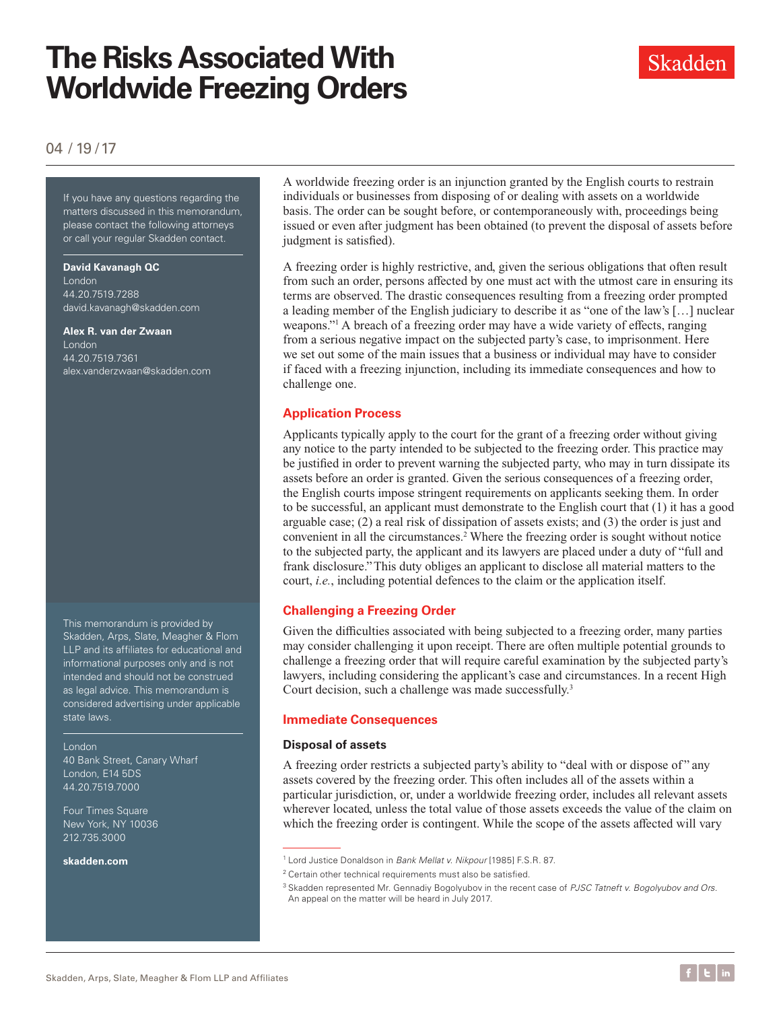# **The Risks Associated With Worldwide Freezing Orders**

### Skadden

### 04 / 19 /17

If you have any questions regarding the matters discussed in this memorandum, please contact the following attorneys or call your regular Skadden contact.

#### **David Kavanagh QC**

London 44.20.7519.7288 [david.kavanagh@skadden.com](mailto:david.kavanagh%40skadden.com?subject=)

#### **Alex R. van der Zwaan** London

44.20.7519.7361 [alex.vanderzwaan@skadden.com](mailto:alex.vanderzwaan%40skadden.com?subject=)

This memorandum is provided by Skadden, Arps, Slate, Meagher & Flom LLP and its affiliates for educational and informational purposes only and is not intended and should not be construed as legal advice. This memorandum is considered advertising under applicable state laws.

London 40 Bank Street, Canary Wharf London, E14 5DS 44.20.7519.7000

Four Times Square New York, NY 10036 212.735.3000

**[skadden.com](http://www.skadden.com)**

A worldwide freezing order is an injunction granted by the English courts to restrain individuals or businesses from disposing of or dealing with assets on a worldwide basis. The order can be sought before, or contemporaneously with, proceedings being issued or even after judgment has been obtained (to prevent the disposal of assets before judgment is satisfied).

A freezing order is highly restrictive, and, given the serious obligations that often result from such an order, persons affected by one must act with the utmost care in ensuring its terms are observed. The drastic consequences resulting from a freezing order prompted a leading member of the English judiciary to describe it as "one of the law's […] nuclear weapons."1 A breach of a freezing order may have a wide variety of effects, ranging from a serious negative impact on the subjected party's case, to imprisonment. Here we set out some of the main issues that a business or individual may have to consider if faced with a freezing injunction, including its immediate consequences and how to challenge one.

#### **Application Process**

Applicants typically apply to the court for the grant of a freezing order without giving any notice to the party intended to be subjected to the freezing order. This practice may be justified in order to prevent warning the subjected party, who may in turn dissipate its assets before an order is granted. Given the serious consequences of a freezing order, the English courts impose stringent requirements on applicants seeking them. In order to be successful, an applicant must demonstrate to the English court that (1) it has a good arguable case;  $(2)$  a real risk of dissipation of assets exists; and  $(3)$  the order is just and convenient in all the circumstances.<sup>2</sup> Where the freezing order is sought without notice to the subjected party, the applicant and its lawyers are placed under a duty of "full and frank disclosure." This duty obliges an applicant to disclose all material matters to the court, *i.e.*, including potential defences to the claim or the application itself.

#### **Challenging a Freezing Order**

Given the difficulties associated with being subjected to a freezing order, many parties may consider challenging it upon receipt. There are often multiple potential grounds to challenge a freezing order that will require careful examination by the subjected party's lawyers, including considering the applicant's case and circumstances. In a recent High Court decision, such a challenge was made successfully.<sup>3</sup>

#### **Immediate Consequences**

#### **Disposal of assets**

A freezing order restricts a subjected party's ability to "deal with or dispose of " any assets covered by the freezing order. This often includes all of the assets within a particular jurisdiction, or, under a worldwide freezing order, includes all relevant assets wherever located, unless the total value of those assets exceeds the value of the claim on which the freezing order is contingent. While the scope of the assets affected will vary

<sup>1</sup> Lord Justice Donaldson in *Bank Mellat v. Nikpour* [1985] F.S.R. 87.

<sup>&</sup>lt;sup>2</sup> Certain other technical requirements must also be satisfied.

<sup>3</sup> Skadden represented Mr. Gennadiy Bogolyubov in the recent case of *PJSC Tatneft v. Bogolyubov and Ors*. An appeal on the matter will be heard in July 2017.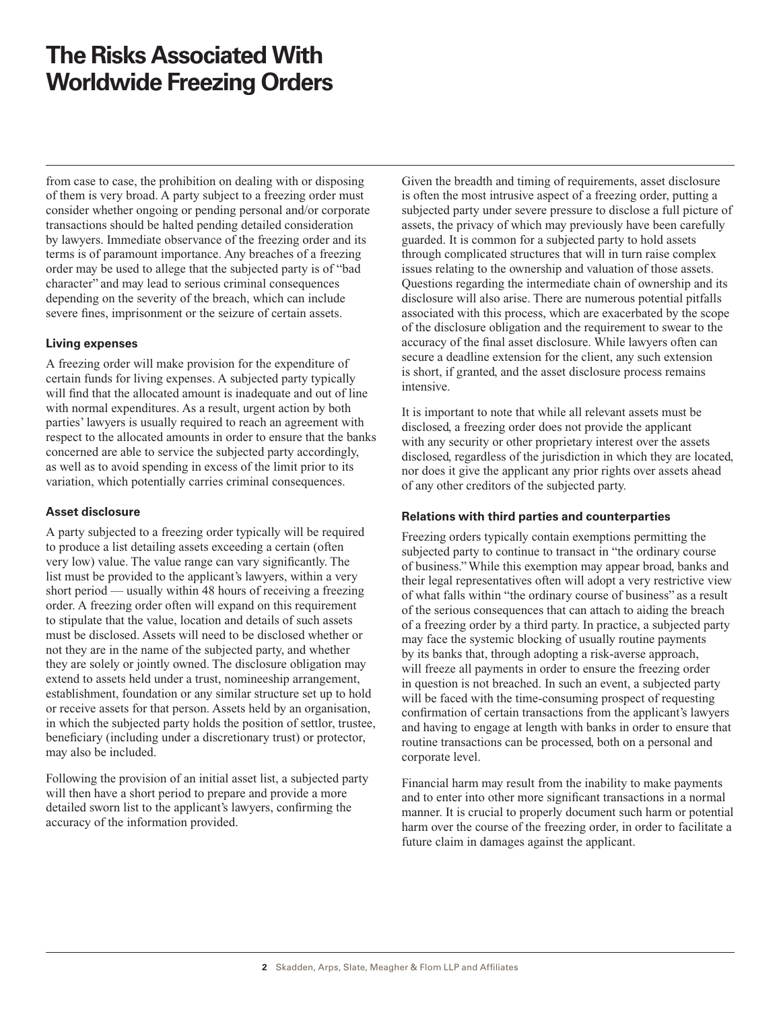## **The Risks Associated With Worldwide Freezing Orders**

from case to case, the prohibition on dealing with or disposing of them is very broad. A party subject to a freezing order must consider whether ongoing or pending personal and/or corporate transactions should be halted pending detailed consideration by lawyers. Immediate observance of the freezing order and its terms is of paramount importance. Any breaches of a freezing order may be used to allege that the subjected party is of "bad character" and may lead to serious criminal consequences depending on the severity of the breach, which can include severe fines, imprisonment or the seizure of certain assets.

#### **Living expenses**

A freezing order will make provision for the expenditure of certain funds for living expenses. A subjected party typically will find that the allocated amount is inadequate and out of line with normal expenditures. As a result, urgent action by both parties' lawyers is usually required to reach an agreement with respect to the allocated amounts in order to ensure that the banks concerned are able to service the subjected party accordingly, as well as to avoid spending in excess of the limit prior to its variation, which potentially carries criminal consequences.

#### **Asset disclosure**

A party subjected to a freezing order typically will be required to produce a list detailing assets exceeding a certain (often very low) value. The value range can vary significantly. The list must be provided to the applicant's lawyers, within a very short period — usually within 48 hours of receiving a freezing order. A freezing order often will expand on this requirement to stipulate that the value, location and details of such assets must be disclosed. Assets will need to be disclosed whether or not they are in the name of the subjected party, and whether they are solely or jointly owned. The disclosure obligation may extend to assets held under a trust, nomineeship arrangement, establishment, foundation or any similar structure set up to hold or receive assets for that person. Assets held by an organisation, in which the subjected party holds the position of settlor, trustee, beneficiary (including under a discretionary trust) or protector, may also be included.

Following the provision of an initial asset list, a subjected party will then have a short period to prepare and provide a more detailed sworn list to the applicant's lawyers, confirming the accuracy of the information provided.

Given the breadth and timing of requirements, asset disclosure is often the most intrusive aspect of a freezing order, putting a subjected party under severe pressure to disclose a full picture of assets, the privacy of which may previously have been carefully guarded. It is common for a subjected party to hold assets through complicated structures that will in turn raise complex issues relating to the ownership and valuation of those assets. Questions regarding the intermediate chain of ownership and its disclosure will also arise. There are numerous potential pitfalls associated with this process, which are exacerbated by the scope of the disclosure obligation and the requirement to swear to the accuracy of the final asset disclosure. While lawyers often can secure a deadline extension for the client, any such extension is short, if granted, and the asset disclosure process remains intensive.

It is important to note that while all relevant assets must be disclosed, a freezing order does not provide the applicant with any security or other proprietary interest over the assets disclosed, regardless of the jurisdiction in which they are located, nor does it give the applicant any prior rights over assets ahead of any other creditors of the subjected party.

#### **Relations with third parties and counterparties**

Freezing orders typically contain exemptions permitting the subjected party to continue to transact in "the ordinary course of business." While this exemption may appear broad, banks and their legal representatives often will adopt a very restrictive view of what falls within "the ordinary course of business" as a result of the serious consequences that can attach to aiding the breach of a freezing order by a third party. In practice, a subjected party may face the systemic blocking of usually routine payments by its banks that, through adopting a risk-averse approach, will freeze all payments in order to ensure the freezing order in question is not breached. In such an event, a subjected party will be faced with the time-consuming prospect of requesting confirmation of certain transactions from the applicant's lawyers and having to engage at length with banks in order to ensure that routine transactions can be processed, both on a personal and corporate level.

Financial harm may result from the inability to make payments and to enter into other more significant transactions in a normal manner. It is crucial to properly document such harm or potential harm over the course of the freezing order, in order to facilitate a future claim in damages against the applicant.